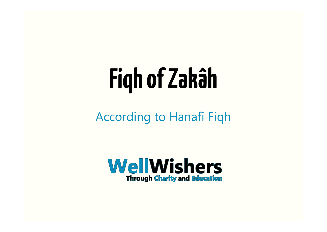# **Fiqh of Zakâh**

According to Hanafi Fiqh

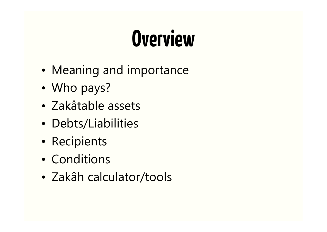### **Overview**

- Meaning and importance
- Who pays?
- Zakâtable assets
- Debts/Liabilities
- Recipients
- Conditions
- Zakâh calculator/tools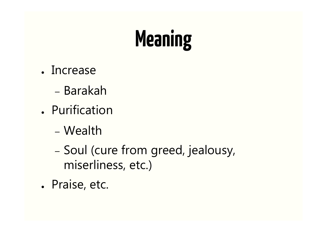## **Meaning**

- Increase
	- Barakah
- Purification
	- Wealth
	- Soul (cure from greed, jealousy, miserliness, etc.)
- Praise, etc.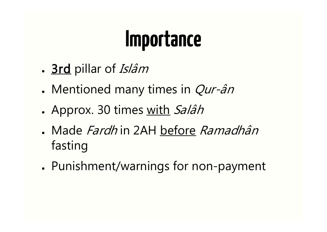#### **Importance**

- 3rd pillar of Islâm
- Mentioned many times in  $Qur-\hat{a}n$
- Approx. 30 times with Salâh
- Made *Fardh* in 2AH before *Ramadhân* fasting
- Punishment/warnings for non-payment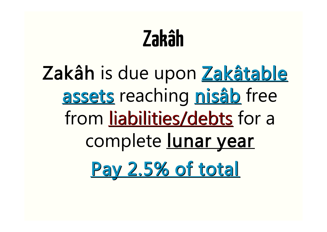#### **Zakâh**

#### Zakâh is due upon Zakâtable assets reaching nisâb free from liabilities/debts for a complete lunar year Pay 2.5% of total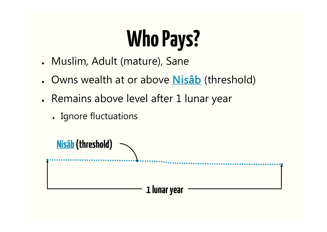# **Who Pays?**

- Muslim, Adult (mature), Sane
- Owns wealth at or above **Nisâb** (threshold)
- Remains above level after 1 lunar year
	- Ignore fluctuations

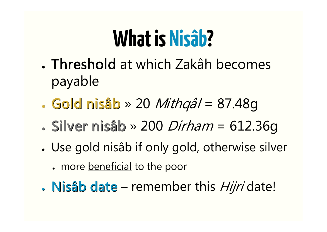#### **What is Nisâb?**

- . Threshold at which Zakâh becomes payable
- $\cdot$  Gold nisâb » 20 *Mithqâl* = 87.48g
- $\cdot$  Silver nisâb » 200 Dirham = 612.36q
- Use gold nisâb if only gold, otherwise silver
	- more beneficial to the poor
- $\bullet$  Nisâb date remember this *Hijri* date!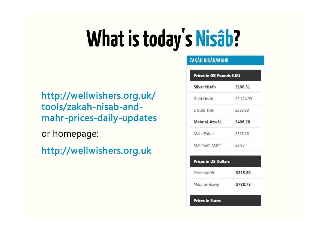### **What is today's Nisâb?**

http://wellwishers.org.uk/ tools/zakah-nisab-andmahr-prices-daily-updates

or homepage:

http://wellwishers.org.uk

#### **ZAKÂH NISÂB/MAHR** Prices in GB Pounds (UK) **Silver Nisab** £198.51 £2,124.99 1 Gold Tola £283.33 £496.28 Mahr Fâtimi £567.18 Minimum Mahr  $f9.93$ **Prices in US Dollars** Silver Nisâb \$315.50 Mahr al-Azwâi \$788.75 **Prices in Euros**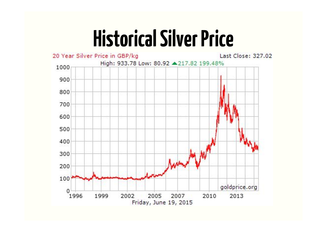#### **Historical Silver Price**

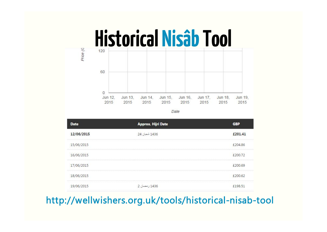

Date

| <b>Date</b> | <b>Approx. Hijri Date</b> | <b>GBP</b> |
|-------------|---------------------------|------------|
| 12/06/2015  | 1436 سُعِيان 24           | £201.41    |
| 15/06/2015  |                           | £204.86    |
| 16/06/2015  |                           | £200.72    |
| 17/06/2015  |                           | £200.69    |
| 18/06/2015  |                           | £200.62    |
| 19/06/2015  | 1436 ر مضان 2             | £198.51    |

#### http://wellwishers.org.uk/tools/historical-nisab-tool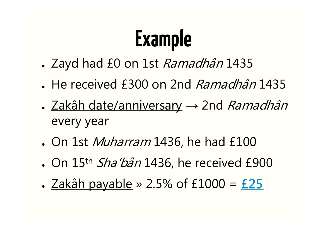# **Example**

- Zayd had £0 on 1st *Ramadhân* 1435
- He received £300 on 2nd *Ramadhân* 1435
- Zakâh date/anniversary → 2nd *Ramadhân* every year
- On 1st *Muharram* 1436, he had £100
- On  $15<sup>th</sup>$  *Sha'bân* 1436, he received £900
- $\triangle$  Zakâh payable » 2.5% of £1000 = £25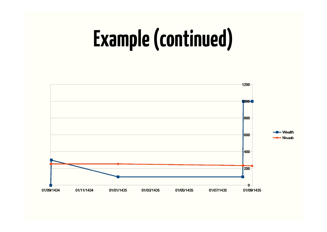## **Example (continued)**

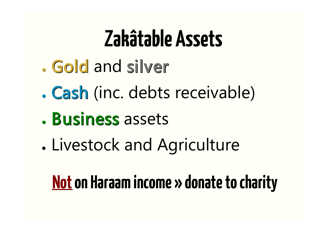#### **Zakâtable Assets**

- Gold and silver
- . Cash (inc. debts receivable)
- . Business assets
- . Livestock and Agriculture

#### **Not on Haraam income » donate to charity**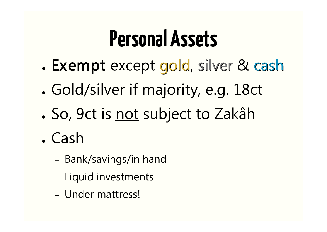#### **Personal Assets**

- Exempt except gold, silver & cash
- . Gold/silver if majority, e.g. 18ct
- So, 9ct is not subject to Zakâh
- . Cash
	- Bank/savings/in hand
	- Liquid investments
	- Under mattress!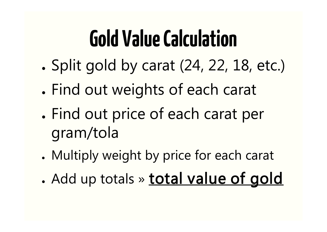#### **Gold Value Calculation**

- Split gold by carat (24, 22, 18, etc.)
- . Find out weights of each carat
- . Find out price of each carat per gram/tola
- Multiply weight by price for each carat
- . Add up totals » total value of gold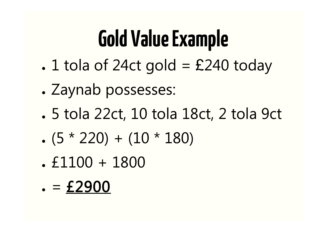#### **Gold Value Example**

- $\cdot$  1 tola of 24ct gold = £240 today
- . Zaynab possesses:
- 5 tola 22ct, 10 tola 18ct, 2 tola 9ct
- $(5 * 220) + (10 * 180)$
- $. f1100 + 1800$

 $= £2900$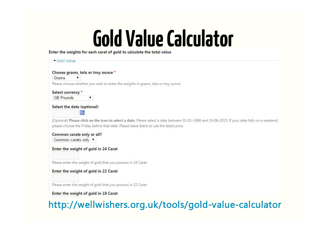# **Gold Value Calculator**

| Choose grams, tola or troy ounce *<br>Grams<br>▼<br>Please choose whether you wish to enter the weights in grams, tola or troy ounce<br>Select currency *<br><b>GB</b> Pounds<br>۷<br>Select the date (optional)<br><b>THE</b><br>(Optional) Please click on the icon to select a date. Please select a date between 01-01-1968 and 19-06-2015. If your date falls on a weekend,<br>please choose the Friday before that date. Please leave blank to use the latest price<br>Common carats only or all?<br>Common carats only ▼<br>Enter the weight of gold in 24 Carat<br>Please enter the weight of gold that you possess in 24 Carat<br>Enter the weight of gold in 22 Carat<br>Please enter the weight of gold that you possess in 22 Carat | Gold Value                           |  |
|-------------------------------------------------------------------------------------------------------------------------------------------------------------------------------------------------------------------------------------------------------------------------------------------------------------------------------------------------------------------------------------------------------------------------------------------------------------------------------------------------------------------------------------------------------------------------------------------------------------------------------------------------------------------------------------------------------------------------------------------------|--------------------------------------|--|
|                                                                                                                                                                                                                                                                                                                                                                                                                                                                                                                                                                                                                                                                                                                                                 |                                      |  |
|                                                                                                                                                                                                                                                                                                                                                                                                                                                                                                                                                                                                                                                                                                                                                 |                                      |  |
|                                                                                                                                                                                                                                                                                                                                                                                                                                                                                                                                                                                                                                                                                                                                                 |                                      |  |
|                                                                                                                                                                                                                                                                                                                                                                                                                                                                                                                                                                                                                                                                                                                                                 |                                      |  |
|                                                                                                                                                                                                                                                                                                                                                                                                                                                                                                                                                                                                                                                                                                                                                 |                                      |  |
|                                                                                                                                                                                                                                                                                                                                                                                                                                                                                                                                                                                                                                                                                                                                                 |                                      |  |
|                                                                                                                                                                                                                                                                                                                                                                                                                                                                                                                                                                                                                                                                                                                                                 |                                      |  |
|                                                                                                                                                                                                                                                                                                                                                                                                                                                                                                                                                                                                                                                                                                                                                 |                                      |  |
|                                                                                                                                                                                                                                                                                                                                                                                                                                                                                                                                                                                                                                                                                                                                                 |                                      |  |
|                                                                                                                                                                                                                                                                                                                                                                                                                                                                                                                                                                                                                                                                                                                                                 |                                      |  |
|                                                                                                                                                                                                                                                                                                                                                                                                                                                                                                                                                                                                                                                                                                                                                 |                                      |  |
|                                                                                                                                                                                                                                                                                                                                                                                                                                                                                                                                                                                                                                                                                                                                                 |                                      |  |
|                                                                                                                                                                                                                                                                                                                                                                                                                                                                                                                                                                                                                                                                                                                                                 |                                      |  |
|                                                                                                                                                                                                                                                                                                                                                                                                                                                                                                                                                                                                                                                                                                                                                 |                                      |  |
|                                                                                                                                                                                                                                                                                                                                                                                                                                                                                                                                                                                                                                                                                                                                                 |                                      |  |
|                                                                                                                                                                                                                                                                                                                                                                                                                                                                                                                                                                                                                                                                                                                                                 | Enter the weight of gold in 18 Carat |  |
| http://wellwishers.org.uk/tools/gold-value-calculator                                                                                                                                                                                                                                                                                                                                                                                                                                                                                                                                                                                                                                                                                           |                                      |  |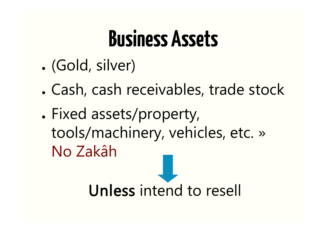#### **Business Assets**

- (Gold, silver)
- . Cash, cash receivables, trade stock
- . Fixed assets/property, tools/machinery, vehicles, etc. » No Zakâh

Unless intend to resell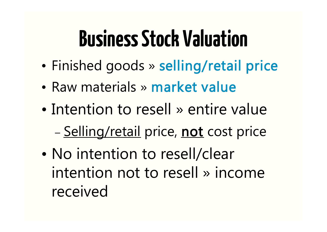#### **Business Stock Valuation**

- Finished goods » selling/retail price
- Raw materials » market value
- Intention to resell » entire value – Selling/retail price, not cost price
- No intention to resell/clear intention not to resell » income received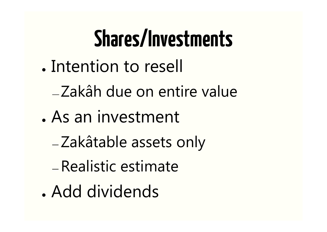## **Shares/Investments**

- Intention to resell
	- Zakâh due on entire value
- . As an investment
	- Zakâtable assets only
	- Realistic estimate
- . Add dividends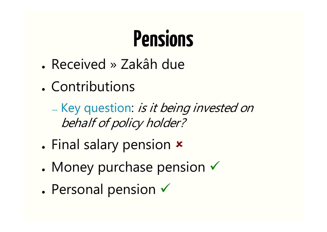#### **Pensions**

- Received » Zakâh due
- Contributions

— Key question: is it being invested on behalf of policy holder?

- Final salary pension **x**
- Money purchase pension  $\checkmark$
- $\bullet$  Personal pension  $\checkmark$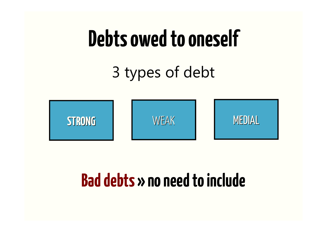#### **Debts owed to oneself**

3 types of debt



#### **Bad debts » no need to include**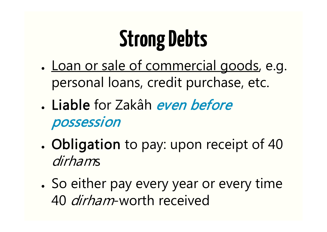## **Strong Debts**

- <u>Loan or sale of commercial goods</u>, e.g. personal loans, credit purchase, etc.
- . Liable for Zakâh even before possession
- . Obligation to pay: upon receipt of 40 dirhams
- So either pay every year or every time 40 dirham-worth received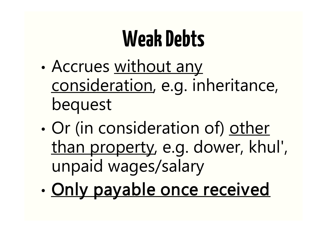#### **Weak Debts**

- Accrues without any consideration, e.g. inheritance, bequest
- Or (in consideration of) other than property, e.g. dower, khul', unpaid wages/salary
- Only payable once received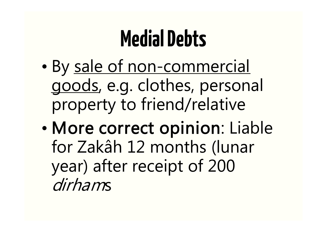#### **Medial Debts**

- By sale of non-commercial goods, e.g. clothes, personal property to friend/relative
- More correct opinion: Liable for Zakâh 12 months (lunar year) after receipt of 200 dirhams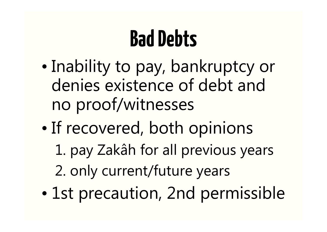#### **Bad Debts**

- Inability to pay, bankruptcy or denies existence of debt and no proof/witnesses
- If recovered, both opinions
	- 1. pay Zakâh for all previous years
	- 2. only current/future years
- 1st precaution, 2nd permissible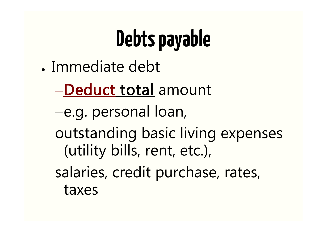# **Debts payable**

- . Immediate debt
	- –Deduct total amount
	- –e.g. personal loan,
	- outstanding basic living expenses (utility bills, rent, etc.),
	- salaries, credit purchase, rates, taxes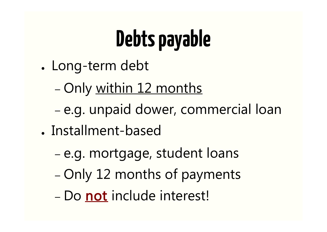# **Debts payable**

- Long-term debt
	- Only within 12 months
	- e.g. unpaid dower, commercial loan
- . Installment-based
	- e.g. mortgage, student loans
	- Only 12 months of payments
	- Do not include interest!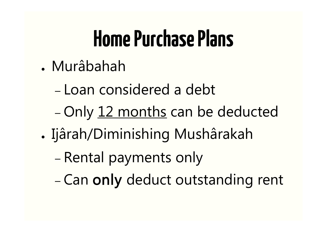#### **Home Purchase Plans**

- . Murâbahah
	- Loan considered a debt
	- Only 12 months can be deducted
- Ijârah/Diminishing Mushârakah
	- Rental payments only
	- Can only deduct outstanding rent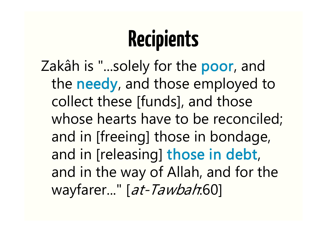### **Recipients**

Zakâh is "...solely for the poor, and the needy, and those employed to collect these [funds], and those whose hearts have to be reconciled; and in [freeing] those in bondage, and in [releasing] those in debt, and in the way of Allah, and for the wayfarer..." [at-Tawbah:60]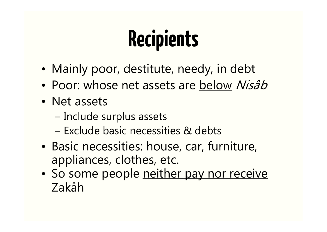## **Recipients**

- Mainly poor, destitute, needy, in debt
- Poor: whose net assets are below Nisâb
- Net assets
	- Include surplus assets
	- Exclude basic necessities & debts
- Basic necessities: house, car, furniture, appliances, clothes, etc.
- So some people neither pay nor receive Zakâh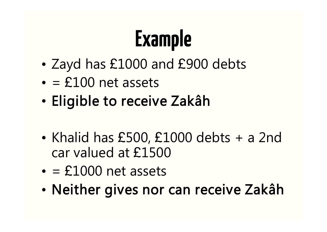# **Example**

- Zayd has £1000 and £900 debts
- $\cdot$  = £100 net assets
- Eligible to receive Zakâh
- Khalid has £500, £1000 debts + a 2nd car valued at £1500
- $\cdot$  = £1000 net assets
- Neither gives nor can receive Zakâh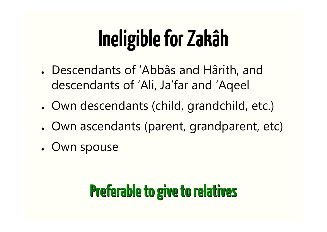### **Ineligible for Zakâh**

- Descendants of 'Abbâs and Hârith, and descendants of 'Ali, Ja'far and 'Aqeel
- Own descendants (child, grandchild, etc.)
- Own ascendants (parent, grandparent, etc)
- Own spouse

#### **Preferable to give to relatives**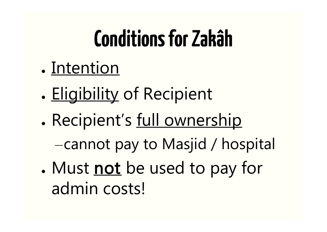#### **Conditions for Zakâh**

- Intention
- . Eligibility of Recipient
- . Recipient's full ownership –cannot pay to Masjid / hospital
- Must not be used to pay for admin costs!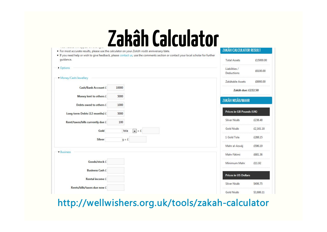#### **Zakâh Calculator**

| single complete some replacement and state ingress<br>· For most accurate results, please use the calculator on your Zakâh nisâb anniversary/date. |                                                                                                                                    | <b>ZAKÂH CALCULATOR RESULT</b>                 |
|----------------------------------------------------------------------------------------------------------------------------------------------------|------------------------------------------------------------------------------------------------------------------------------------|------------------------------------------------|
| quidance.                                                                                                                                          | . If you need help or wish to give feedback, please contact us, use the comments section or contact your local scholar for further | <b>Total Assets</b><br>£15000.00               |
| <b>C</b> ptions                                                                                                                                    |                                                                                                                                    | Liabilities /<br>£6100.00<br><b>Deductions</b> |
| Money/Cash/Jewellery                                                                                                                               |                                                                                                                                    |                                                |
|                                                                                                                                                    |                                                                                                                                    | £8900.00<br>Zakâtable Assets                   |
| Cash/Bank Account £                                                                                                                                | 10000                                                                                                                              | Zakâh due: £222.50                             |
| Money lent to others £                                                                                                                             | 5000                                                                                                                               | ZAKÂH NISÂB/MAHR                               |
| Debts owed to others £                                                                                                                             | 1000                                                                                                                               |                                                |
| Long term Debts (12 months) £                                                                                                                      | 5000                                                                                                                               | Prices in GB Pounds (UK)                       |
| Rent/taxes/bills currently due £                                                                                                                   | 100                                                                                                                                | Silver Nisâb<br>£238.48                        |
| Gold                                                                                                                                               | tola<br>$\vert \bullet \vert = \pm$                                                                                                | Gold Nisâb<br>£2,161.18                        |
| <b>Silver</b><br>$g = f$                                                                                                                           |                                                                                                                                    | 1 Gold Tola<br>£288.15                         |
|                                                                                                                                                    |                                                                                                                                    | £596.19<br>Mahr al-Azwâj                       |
| - Business                                                                                                                                         |                                                                                                                                    | Mahr Fâtimi<br>£681.36                         |
| Goods/stock £                                                                                                                                      |                                                                                                                                    | Minimum Mahr<br>£11.92                         |
| <b>Business Cash £</b>                                                                                                                             |                                                                                                                                    |                                                |
| Rental income £                                                                                                                                    |                                                                                                                                    | <b>Prices in US Dollars</b>                    |
|                                                                                                                                                    |                                                                                                                                    | Silver Nisâb<br>\$406.75                       |
| Rents/bills/taxes due now £                                                                                                                        |                                                                                                                                    | \$3,686.11<br>Gold Nisâb                       |

http://wellwishers.org.uk/tools/zakah-calculator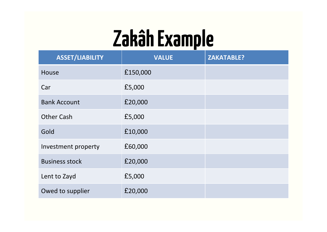#### **Zakâh Example**

| <b>ASSET/LIABILITY</b> | <b>VALUE</b> | <b>ZAKATABLE?</b> |
|------------------------|--------------|-------------------|
| House                  | £150,000     |                   |
| Car                    | £5,000       |                   |
| <b>Bank Account</b>    | £20,000      |                   |
| <b>Other Cash</b>      | £5,000       |                   |
| Gold                   | £10,000      |                   |
| Investment property    | £60,000      |                   |
| <b>Business stock</b>  | £20,000      |                   |
| Lent to Zayd           | £5,000       |                   |
| Owed to supplier       | £20,000      |                   |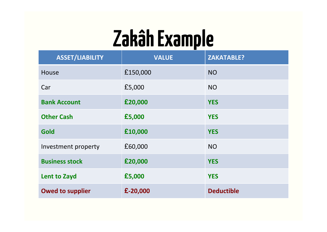#### **Zakâh Example**

| <b>ASSET/LIABILITY</b>  | <b>VALUE</b> | <b>ZAKATABLE?</b> |
|-------------------------|--------------|-------------------|
| House                   | £150,000     | <b>NO</b>         |
| Car                     | £5,000       | <b>NO</b>         |
| <b>Bank Account</b>     | £20,000      | <b>YES</b>        |
| <b>Other Cash</b>       | £5,000       | <b>YES</b>        |
| Gold                    | £10,000      | <b>YES</b>        |
| Investment property     | £60,000      | <b>NO</b>         |
| <b>Business stock</b>   | £20,000      | <b>YES</b>        |
| <b>Lent to Zayd</b>     | £5,000       | <b>YES</b>        |
| <b>Owed to supplier</b> | $£-20,000$   | <b>Deductible</b> |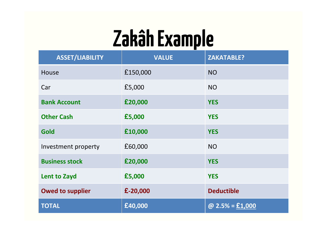#### **Zakâh Example**

| <b>ASSET/LIABILITY</b>  | <b>VALUE</b> | <b>ZAKATABLE?</b> |
|-------------------------|--------------|-------------------|
| House                   | £150,000     | <b>NO</b>         |
| Car                     | £5,000       | <b>NO</b>         |
| <b>Bank Account</b>     | £20,000      | <b>YES</b>        |
| <b>Other Cash</b>       | £5,000       | <b>YES</b>        |
| <b>Gold</b>             | £10,000      | <b>YES</b>        |
| Investment property     | £60,000      | <b>NO</b>         |
| <b>Business stock</b>   | £20,000      | <b>YES</b>        |
| <b>Lent to Zayd</b>     | £5,000       | <b>YES</b>        |
| <b>Owed to supplier</b> | £-20,000     | <b>Deductible</b> |
| <b>TOTAL</b>            | £40,000      | @ $2.5% = £1,000$ |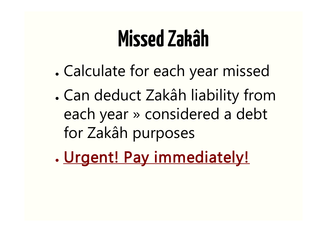#### **Missed Zakâh**

- . Calculate for each year missed
- . Can deduct Zakâh liability from each year » considered a debt for Zakâh purposes
- . Urgent! Pay immediately!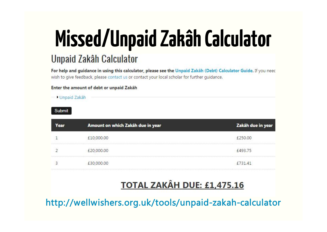# **Missed/Unpaid Zakâh Calculator**

#### **Unpaid Zakâh Calculator**

For help and guidance in using this calculator, please see the Unpaid Zakâh (Debt) Calculator Guide. If you need wish to give feedback, please contact us or contact your local scholar for further quidance.

#### Enter the amount of debt or unpaid Zakah

Unpaid Zakâh

Submit

| Year | Amount on which Zakâh due in year | Zakâh due in year |
|------|-----------------------------------|-------------------|
|      | £10,000.00                        | £250.00           |
|      | £20,000.00                        | £493.75           |
|      | £30,000.00                        | £731.41           |

#### **TOTAL ZAKÂH DUE: £1,475.16**

http://wellwishers.org.uk/tools/unpaid-zakah-calculator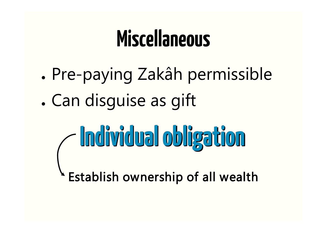#### **Miscellaneous**

- . Pre-paying Zakâh permissible
- . Can disquise as gift
	- **Individual obligation**

Establish ownership of all wealth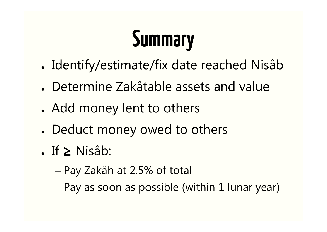# **Summary**

- Identify/estimate/fix date reached Nisâb
- Determine Zakâtable assets and value
- Add money lent to others
- Deduct money owed to others
- If  $≥$  Nisâb:
	- Pay Zakâh at 2.5% of total
	- Pay as soon as possible (within 1 lunar year)